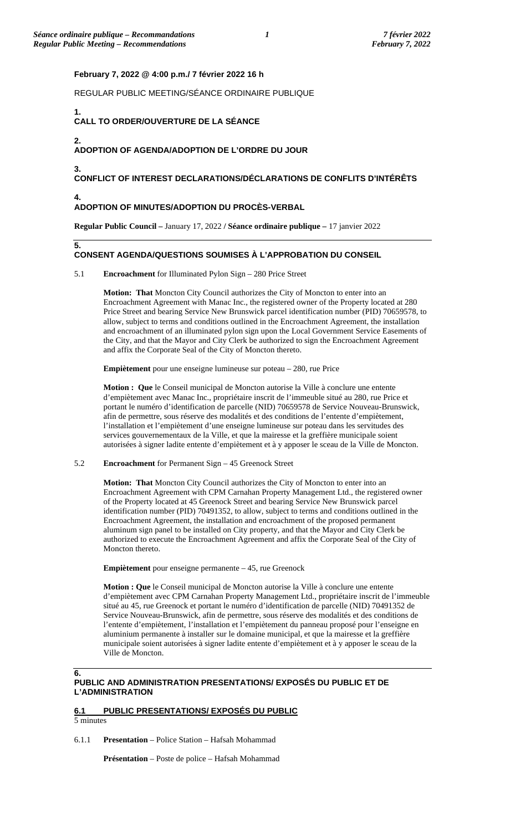**CONFLICT OF INTEREST DECLARATIONS/DÉCLARATIONS DE CONFLITS D'INTÉRÊTS**

**Motion: That** Moncton City Council authorizes the City of Moncton to enter into an

**Motion : Que** le Conseil municipal de Moncton autorise la Ville à conclure une entente d'empiètement avec Manac Inc., propriétaire inscrit de l'immeuble situé au 280, rue Price et portant le numéro d'identification de parcelle (NID) 70659578 de Service Nouveau-Brunswick, afin de permettre, sous réserve des modalités et des conditions de l'entente d'empiètement, l'installation et l'empiètement d'une enseigne lumineuse sur poteau dans les servitudes des services gouvernementaux de la Ville, et que la mairesse et la greffière municipale soient autorisées à signer ladite entente d'empiètement et à y apposer le sceau de la Ville de Moncton.

**Motion: That** Moncton City Council authorizes the City of Moncton to enter into an

**Motion : Que** le Conseil municipal de Moncton autorise la Ville à conclure une entente

**PUBLIC AND ADMINISTRATION PRESENTATIONS/ EXPOSÉS DU PUBLIC ET DE** 

d'empiètement avec CPM Carnahan Property Management Ltd., propriétaire inscrit de l'immeuble situé au 45, rue Greenock et portant le numéro d'identification de parcelle (NID) 70491352 de Service Nouveau-Brunswick, afin de permettre, sous réserve des modalités et des conditions de l'entente d'empiètement, l'installation et l'empiètement du panneau proposé pour l'enseigne en aluminium permanente à installer sur le domaine municipal, et que la mairesse et la greffière municipale soient autorisées à signer ladite entente d'empiètement et à y apposer le sceau de la

Encroachment Agreement with CPM Carnahan Property Management Ltd., the registered owner of the Property located at 45 Greenock Street and bearing Service New Brunswick parcel identification number (PID) 70491352, to allow, subject to terms and conditions outlined in the Encroachment Agreement, the installation and encroachment of the proposed permanent aluminum sign panel to be installed on City property, and that the Mayor and City Clerk be authorized to execute the Encroachment Agreement and affix the Corporate Seal of the City of

Encroachment Agreement with Manac Inc., the registered owner of the Property located at 280 Price Street and bearing Service New Brunswick parcel identification number (PID) 70659578, to allow, subject to terms and conditions outlined in the Encroachment Agreement, the installation and encroachment of an illuminated pylon sign upon the Local Government Service Easements of the City, and that the Mayor and City Clerk be authorized to sign the Encroachment Agreement

**Regular Public Council –** January 17, 2022 **/ Séance ordinaire publique –** 17 janvier 2022

**CONSENT AGENDA/QUESTIONS SOUMISES À L'APPROBATION DU CONSEIL**

### **February 7, 2022 @ 4:00 p.m./ 7 février 2022 16 h**

REGULAR PUBLIC MEETING/SÉANCE ORDINAIRE PUBLIQUE

#### **1. CALL TO ORDER/OUVERTURE DE LA SÉANCE**

**2.**

**3.**

**4.**

**5.**

## **ADOPTION OF AGENDA/ADOPTION DE L'ORDRE DU JOUR**

**ADOPTION OF MINUTES/ADOPTION DU PROCÈS-VERBAL**

5.1 **Encroachment** for Illuminated Pylon Sign – 280 Price Street

and affix the Corporate Seal of the City of Moncton thereto.

5.2 **Encroachment** for Permanent Sign – 45 Greenock Street

**Empiètement** pour enseigne permanente – 45, rue Greenock

Moncton thereto.

Ville de Moncton.

**Empiètement** pour une enseigne lumineuse sur poteau – 280, rue Price

**L'ADMINISTRATION**

**6.**

# **6.1 PUBLIC PRESENTATIONS/ EXPOSÉS DU PUBLIC**

5 minutes

6.1.1 **Presentation** – Police Station – Hafsah Mohammad

**Présentation** – Poste de police – Hafsah Mohammad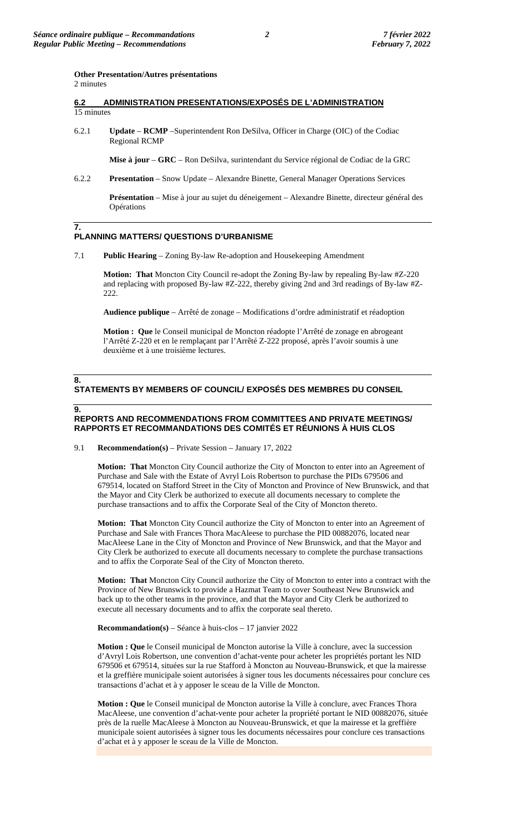### **Other Presentation/Autres présentations**  2 minutes

### **6.2 ADMINISTRATION PRESENTATIONS/EXPOSÉS DE L'ADMINISTRATION**  15 minutes

6.2.1 **Update** – **RCMP** –Superintendent Ron DeSilva, Officer in Charge (OIC) of the Codiac Regional RCMP

**Mise à jour** – **GRC** – Ron DeSilva, surintendant du Service régional de Codiac de la GRC

6.2.2 **Presentation** – Snow Update – Alexandre Binette, General Manager Operations Services

**Présentation** – Mise à jour au sujet du déneigement – Alexandre Binette, directeur général des Opérations

### **7. PLANNING MATTERS/ QUESTIONS D'URBANISME**

7.1 **Public Hearing** – Zoning By-law Re-adoption and Housekeeping Amendment

**Motion: That** Moncton City Council re-adopt the Zoning By-law by repealing By-law #Z-220 and replacing with proposed By-law #Z-222, thereby giving 2nd and 3rd readings of By-law #Z-222.

**Audience publique** – Arrêté de zonage – Modifications d'ordre administratif et réadoption

**Motion : Que** le Conseil municipal de Moncton réadopte l'Arrêté de zonage en abrogeant l'Arrêté Z-220 et en le remplaçant par l'Arrêté Z-222 proposé, après l'avoir soumis à une deuxième et à une troisième lectures.

# **STATEMENTS BY MEMBERS OF COUNCIL/ EXPOSÉS DES MEMBRES DU CONSEIL**

### **9.**

**8.**

### **REPORTS AND RECOMMENDATIONS FROM COMMITTEES AND PRIVATE MEETINGS/ RAPPORTS ET RECOMMANDATIONS DES COMITÉS ET RÉUNIONS À HUIS CLOS**

#### 9.1 **Recommendation(s)** – Private Session – January 17, 2022

**Motion: That** Moncton City Council authorize the City of Moncton to enter into an Agreement of Purchase and Sale with the Estate of Avryl Lois Robertson to purchase the PIDs 679506 and 679514, located on Stafford Street in the City of Moncton and Province of New Brunswick, and that the Mayor and City Clerk be authorized to execute all documents necessary to complete the purchase transactions and to affix the Corporate Seal of the City of Moncton thereto.

**Motion: That** Moncton City Council authorize the City of Moncton to enter into an Agreement of Purchase and Sale with Frances Thora MacAleese to purchase the PID 00882076, located near MacAleese Lane in the City of Moncton and Province of New Brunswick, and that the Mayor and City Clerk be authorized to execute all documents necessary to complete the purchase transactions and to affix the Corporate Seal of the City of Moncton thereto.

**Motion: That** Moncton City Council authorize the City of Moncton to enter into a contract with the Province of New Brunswick to provide a Hazmat Team to cover Southeast New Brunswick and back up to the other teams in the province, and that the Mayor and City Clerk be authorized to execute all necessary documents and to affix the corporate seal thereto.

#### **Recommandation(s)** – Séance à huis-clos – 17 janvier 2022

**Motion : Que** le Conseil municipal de Moncton autorise la Ville à conclure, avec la succession d'Avryl Lois Robertson, une convention d'achat-vente pour acheter les propriétés portant les NID 679506 et 679514, situées sur la rue Stafford à Moncton au Nouveau-Brunswick, et que la mairesse et la greffière municipale soient autorisées à signer tous les documents nécessaires pour conclure ces transactions d'achat et à y apposer le sceau de la Ville de Moncton.

**Motion : Que** le Conseil municipal de Moncton autorise la Ville à conclure, avec Frances Thora MacAleese, une convention d'achat-vente pour acheter la propriété portant le NID 00882076, située près de la ruelle MacAleese à Moncton au Nouveau-Brunswick, et que la mairesse et la greffière municipale soient autorisées à signer tous les documents nécessaires pour conclure ces transactions d'achat et à y apposer le sceau de la Ville de Moncton.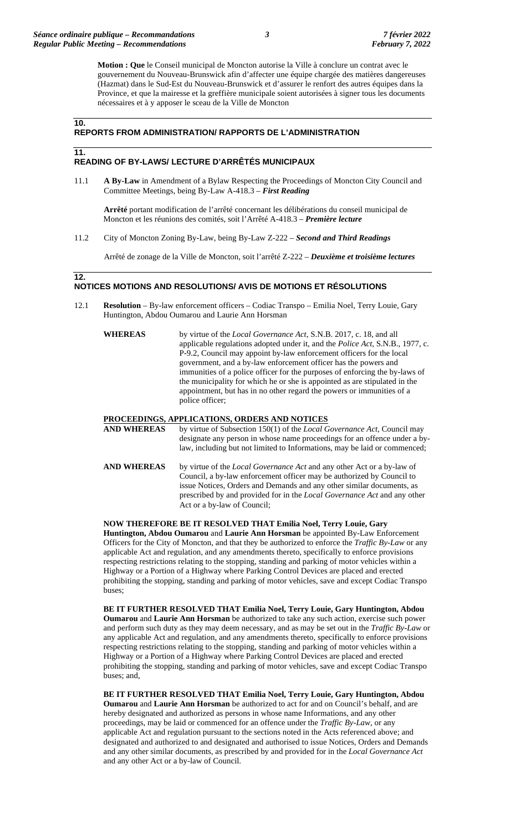**Motion : Que** le Conseil municipal de Moncton autorise la Ville à conclure un contrat avec le gouvernement du Nouveau-Brunswick afin d'affecter une équipe chargée des matières dangereuses (Hazmat) dans le Sud-Est du Nouveau-Brunswick et d'assurer le renfort des autres équipes dans la Province, et que la mairesse et la greffière municipale soient autorisées à signer tous les documents nécessaires et à y apposer le sceau de la Ville de Moncton

### **10.**

**11.**

### **REPORTS FROM ADMINISTRATION/ RAPPORTS DE L'ADMINISTRATION**

### **READING OF BY-LAWS/ LECTURE D'ARRÊTÉS MUNICIPAUX**

11.1 **A By-Law** in Amendment of a Bylaw Respecting the Proceedings of Moncton City Council and Committee Meetings, being By-Law A-418.3 – *First Reading*

**Arrêté** portant modification de l'arrêté concernant les délibérations du conseil municipal de Moncton et les réunions des comités, soit l'Arrêté A-418.3 – *Première lecture*

11.2 City of Moncton Zoning By-Law, being By-Law Z-222 – *Second and Third Readings*

Arrêté de zonage de la Ville de Moncton, soit l'arrêté Z-222 – *Deuxième et troisième lectures*

### **12. NOTICES MOTIONS AND RESOLUTIONS/ AVIS DE MOTIONS ET RÉSOLUTIONS**

- 12.1 **Resolution** By-law enforcement officers Codiac Transpo Emilia Noel, Terry Louie, Gary Huntington, Abdou Oumarou and Laurie Ann Horsman
	- **WHEREAS** by virtue of the *Local Governance Act*, S.N.B. 2017, c. 18, and all applicable regulations adopted under it, and the *Police Act*, S.N.B., 1977, c. P-9.2, Council may appoint by-law enforcement officers for the local government, and a by-law enforcement officer has the powers and immunities of a police officer for the purposes of enforcing the by-laws of the municipality for which he or she is appointed as are stipulated in the appointment, but has in no other regard the powers or immunities of a police officer;

### **PROCEEDINGS, APPLICATIONS, ORDERS AND NOTICES**

Act or a by-law of Council;

**AND WHEREAS** by virtue of Subsection 150(1) of the *Local Governance Act*, Council may designate any person in whose name proceedings for an offence under a bylaw, including but not limited to Informations, may be laid or commenced; **AND WHEREAS** by virtue of the *Local Governance Act* and any other Act or a by-law of Council, a by-law enforcement officer may be authorized by Council to issue Notices, Orders and Demands and any other similar documents, as prescribed by and provided for in the *Local Governance Act* and any other

**NOW THEREFORE BE IT RESOLVED THAT Emilia Noel, Terry Louie, Gary Huntington, Abdou Oumarou** and **Laurie Ann Horsman** be appointed By-Law Enforcement Officers for the City of Moncton, and that they be authorized to enforce the *Traffic By-Law* or any applicable Act and regulation, and any amendments thereto, specifically to enforce provisions respecting restrictions relating to the stopping, standing and parking of motor vehicles within a Highway or a Portion of a Highway where Parking Control Devices are placed and erected prohibiting the stopping, standing and parking of motor vehicles, save and except Codiac Transpo buses;

**BE IT FURTHER RESOLVED THAT Emilia Noel, Terry Louie, Gary Huntington, Abdou Oumarou** and **Laurie Ann Horsman** be authorized to take any such action, exercise such power and perform such duty as they may deem necessary, and as may be set out in the *Traffic By-Law* or any applicable Act and regulation, and any amendments thereto, specifically to enforce provisions respecting restrictions relating to the stopping, standing and parking of motor vehicles within a Highway or a Portion of a Highway where Parking Control Devices are placed and erected prohibiting the stopping, standing and parking of motor vehicles, save and except Codiac Transpo buses; and,

**BE IT FURTHER RESOLVED THAT Emilia Noel, Terry Louie, Gary Huntington, Abdou Oumarou** and **Laurie Ann Horsman** be authorized to act for and on Council's behalf, and are hereby designated and authorized as persons in whose name Informations, and any other proceedings, may be laid or commenced for an offence under the *Traffic By-Law*, or any applicable Act and regulation pursuant to the sections noted in the Acts referenced above; and designated and authorized to and designated and authorised to issue Notices, Orders and Demands and any other similar documents, as prescribed by and provided for in the *Local Governance Act* and any other Act or a by-law of Council.